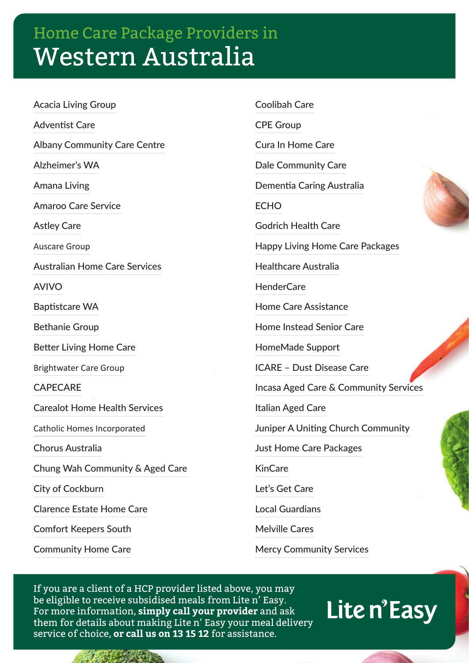## Home Care Package Providers in Western Australia

Acacia Living Group Adventist Care Albany Community Care Centre Alzheimer's WA Amana Living Amaroo Care Service Astley Care Auscare Group Australian Home Care Services AVIVO Baptistcare WA Bethanie Group Better Living Home Care Brightwater Care Group **CAPECARE** Carealot Home Health Services Catholic Homes Incorporated Chorus Australia Chung Wah Community & Aged Care City of Cockburn Clarence Estate Home Care Comfort Keepers South Community Home Care

Coolibah Care CPE Group Cura In Home Care Dale Community Care Dementia Caring Australia **FCHO** Godrich Health Care Happy Living Home Care Packages Healthcare Australia HenderCare Home Care Assistance Home Instead Senior Care HomeMade Support ICARE – Dust Disease Care Incasa Aged Care & Community Services Italian Aged Care Juniper A Uniting Church Community Just Home Care Packages KinCare Let's Get Care Local Guardians Melville Cares

Mercy Community Services

If you are a client of a HCP provider listed above, you may be eligible to receive subsidised meals from Lite n' Easy. For more information, **simply call your provider** and ask them for details about making Lite n' Easy your meal delivery service of choice, **or call us on 13 15 12** for assistance.

Lite n'Easy